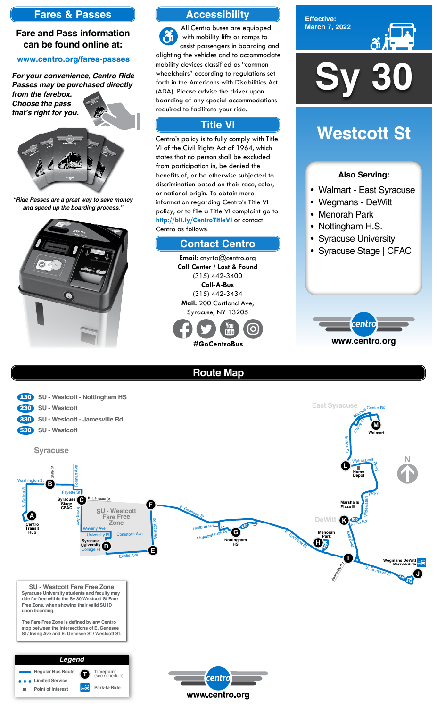

**Effective: March 7, 2022**



### **Also Serving:**

- Walmart East Syracuse
- Wegmans DeWitt
- Menorah Park
- Nottingham H.S.
- Syracuse University
- Syracuse Stage | CFAC



# **Westcott St**

# **Accessibility**

# **Contact Centro**

# **Title VI**

All Centro buses are equipped  $\mathcal{Z}_1$ with mobility lifts or ramps to assist passengers in boarding and alighting the vehicles and to accommodate mobility devices classified as "common wheelchairs" according to regulations set forth in the Americans with Disabilities Act (ADA). Please advise the driver upon boarding of any special accommodations required to facilitate your ride.

> **Email:** cnyrta@centro.org **Call Center / Lost & Found** (315) 442-3400 **Call-A-Bus** (315) 442-3434 **Mail:** 200 Cortland Ave, Syracuse, NY 13205



Centro's policy is to fully comply with Title VI of the Civil Rights Act of 1964, which states that no person shall be excluded from participation in, be denied the benefits of, or be otherwise subjected to discrimination based on their race, color, or national origin. To obtain more information regarding Centro's Title VI policy, or to file a Title VI complaint go to **http://bit.ly/CentroTitleVI** or contact Centro as follows:

# **Fares & Passes**

### **Fare and Pass information can be found online at:**

### **www.centro.org/fares-passes**

*"Ride Passes are a great way to save money and speed up the boarding process."*



*For your convenience, Centro Ride Passes may be purchased directly* 

*from the farebox. Choose the pass that's right for you.*







**Route Map**





#### **Walmart Syracuse C Stage CFAC Widewaters Depot Syracuse SU - Westcott East Syracuse** E. Genesee St S. Salina St Washington St State St Irving Ave external Ave<br>Fayette St E. Genesee St Widewaters<br>Pkwy<br>Pkwy Bridge St Chevy Dr Center Rd **A B F M L** 230 **SU - Westcott** 130 **SU - Westcott - Nottingham HS** 530 **SU - Westcott** 330 **SU - Westcott - Jamesville Rd Marshalls Plaza**

**SU - Westcott Fare Free Zone Syracuse University students and faculty may ride for free within the Sy 30 Westcott St Fare Free Zone, when showing their valid SU ID upon boarding.**

**The Fare Free Zone is defined by any Centro stop between the intersections of E. Genesee St / Irving Ave and E. Genesee St / Westcott St.**